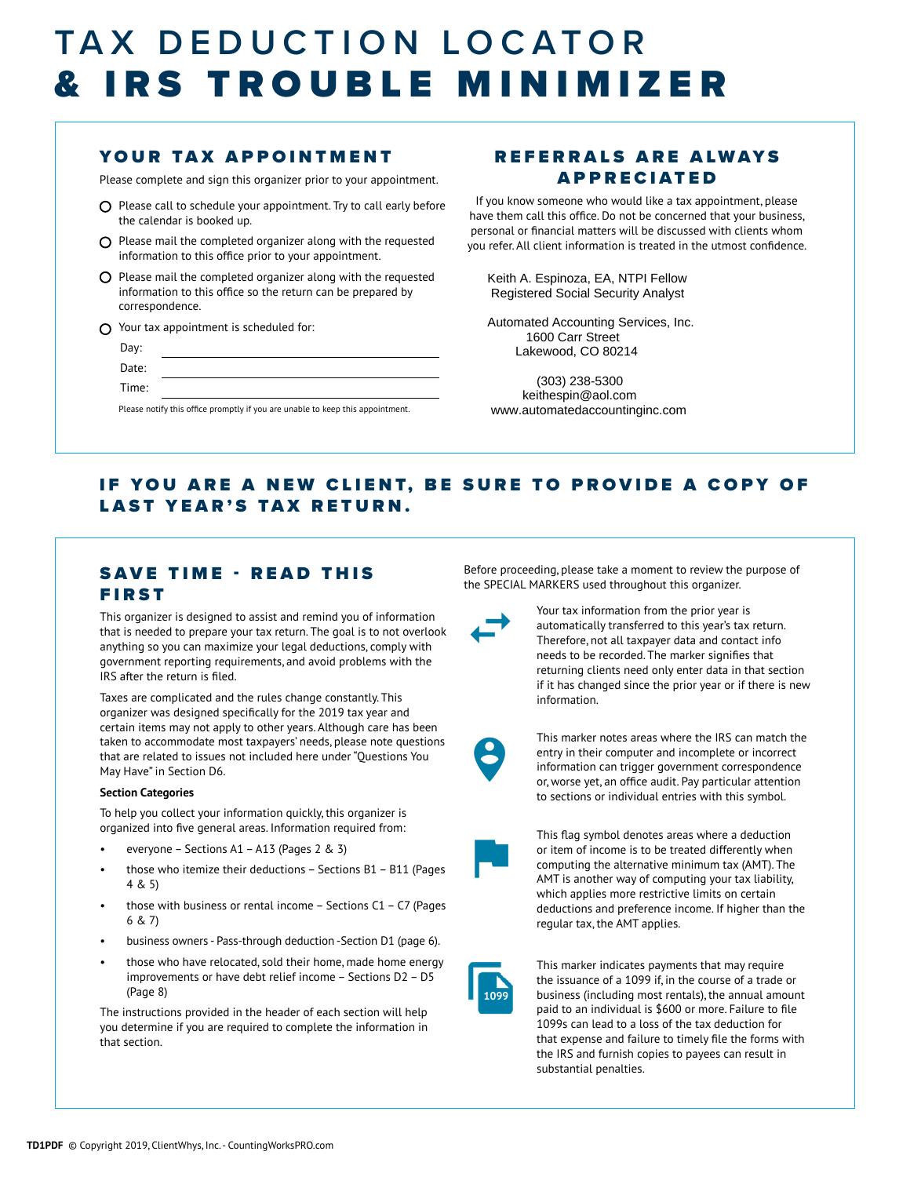## TAX DEDUCTION LOCATOR & IRS TROUBLE MINIMIZER

### YOUR TAX APPOINTMENT

Please complete and sign this organizer prior to your appointment.

- $O$  Please call to schedule your appointment. Try to call early before the calendar is booked up.
- $\Omega$  Please mail the completed organizer along with the requested information to this office prior to your appointment.
- $O$  Please mail the completed organizer along with the requested information to this office so the return can be prepared by correspondence.
- Your tax appointment is scheduled for:
	- Day: Date: Time:

Please notify this office promptly if you are unable to keep this appointment.

### REFERRALS ARE ALWAYS APPRECIATED

If you know someone who would like a tax appointment, please have them call this office. Do not be concerned that your business, personal or financial matters will be discussed with clients whom you refer. All client information is treated in the utmost confidence.

 Keith A. Espinoza, EA, NTPI Fellow Registered Social Security Analyst

 Automated Accounting Services, Inc. 1600 Carr Street Lakewood, CO 80214

 (303) 238-5300 keithespin@aol.com www.automatedaccountinginc.com

### IF YOU ARE A NEW CLIENT, BE SURE TO PROVIDE A COPY OF LAST YEAR'S TAX RETURN.

### SAVE TIME - READ THIS FIRST

This organizer is designed to assist and remind you of information that is needed to prepare your tax return. The goal is to not overlook anything so you can maximize your legal deductions, comply with government reporting requirements, and avoid problems with the IRS after the return is filed.

Taxes are complicated and the rules change constantly. This organizer was designed specifically for the 2019 tax year and certain items may not apply to other years. Although care has been taken to accommodate most taxpayers' needs, please note questions that are related to issues not included here under "Questions You May Have" in Section D6.

#### **Section Categories**

To help you collect your information quickly, this organizer is organized into five general areas. Information required from:

- everyone Sections A1 A13 (Pages 2 & 3)
- those who itemize their deductions Sections B1 B11 (Pages 4 & 5)
- those with business or rental income  $-$  Sections C1  $-$  C7 (Pages 6 & 7)
- business owners Pass-through deduction -Section D1 (page 6).
- those who have relocated, sold their home, made home energy improvements or have debt relief income – Sections D2 – D5 (Page 8)

The instructions provided in the header of each section will help you determine if you are required to complete the information in that section.

Before proceeding, please take a moment to review the purpose of the SPECIAL MARKERS used throughout this organizer.



Your tax information from the prior year is automatically transferred to this year's tax return. Therefore, not all taxpayer data and contact info needs to be recorded. The marker signifies that returning clients need only enter data in that section if it has changed since the prior year or if there is new information.



This marker notes areas where the IRS can match the entry in their computer and incomplete or incorrect information can trigger government correspondence or, worse yet, an office audit. Pay particular attention to sections or individual entries with this symbol.



This flag symbol denotes areas where a deduction or item of income is to be treated differently when computing the alternative minimum tax (AMT). The AMT is another way of computing your tax liability, which applies more restrictive limits on certain deductions and preference income. If higher than the regular tax, the AMT applies.



This marker indicates payments that may require the issuance of a 1099 if, in the course of a trade or business (including most rentals), the annual amount paid to an individual is \$600 or more. Failure to file 1099s can lead to a loss of the tax deduction for that expense and failure to timely file the forms with the IRS and furnish copies to payees can result in substantial penalties.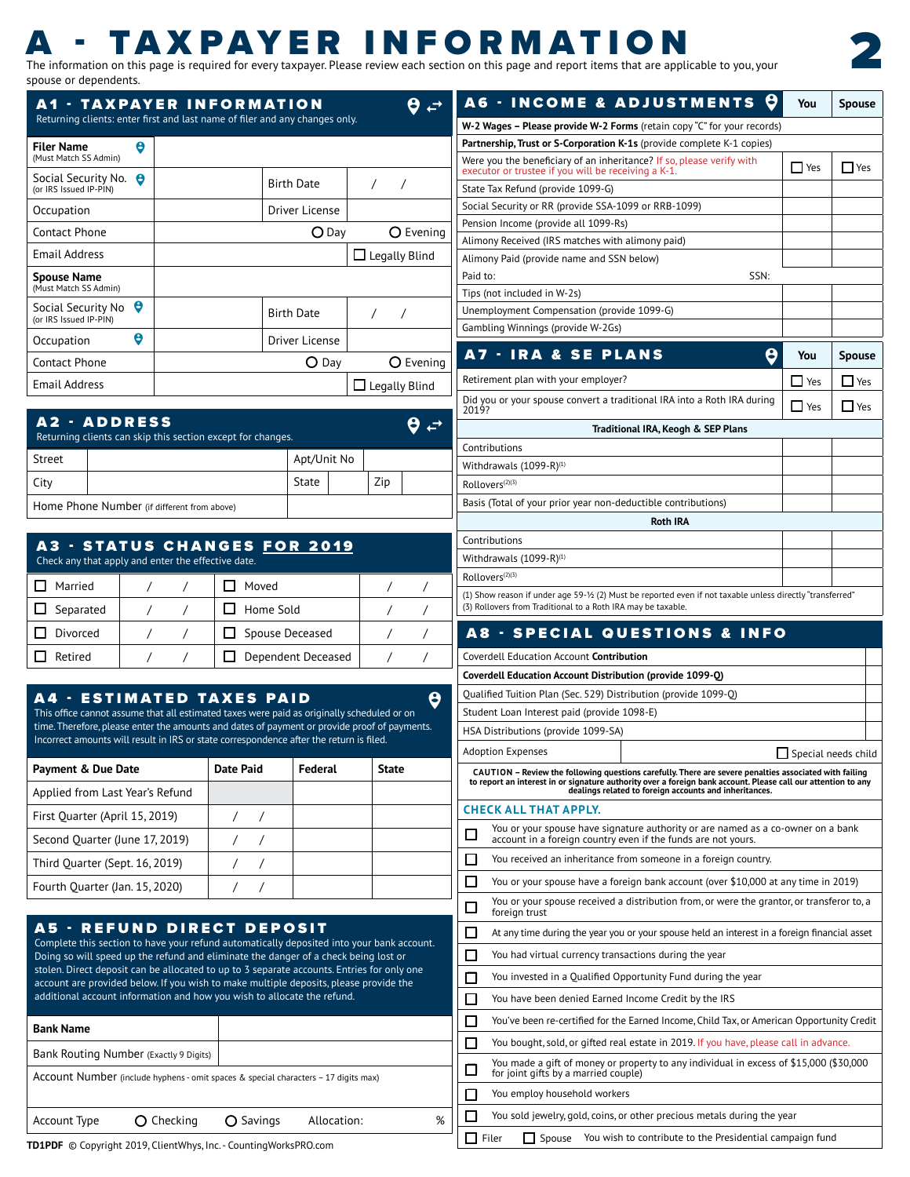# - TAXPAYER INFORMATION

The information on this page is required for every taxpayer. Please review each section on this page and report items that are applicable to you, your spouse or dependents.



| А1                                                | - TAXPAYER INFORMATION                                                      |                      | A6 - IN         |
|---------------------------------------------------|-----------------------------------------------------------------------------|----------------------|-----------------|
|                                                   | Returning clients: enter first and last name of filer and any changes only. |                      | $W-2$ Wages - I |
| Θ<br><b>Filer Name</b>                            |                                                                             |                      | Partnership, Ti |
| (Must Match SS Admin)                             |                                                                             |                      | Were you the    |
| Social Security No.<br>Θ                          | <b>Birth Date</b>                                                           |                      | executor or tru |
| (or IRS Issued IP-PIN)                            |                                                                             |                      | State Tax Refu  |
| Occupation                                        | Driver License                                                              |                      | Social Security |
|                                                   |                                                                             |                      | Pension Incon   |
| Contact Phone                                     | $\bigcirc$ Day                                                              | O Evening            | Alimony Recei   |
| <b>Email Address</b>                              |                                                                             | $\Box$ Legally Blind | Alimony Paid    |
| <b>Spouse Name</b>                                |                                                                             |                      | Paid to:        |
| (Must Match SS Admin)                             |                                                                             |                      | Tips (not inclu |
| Θ<br>Social Security No<br>(or IRS Issued IP-PIN) | <b>Birth Date</b>                                                           |                      | Unemploymer     |
|                                                   |                                                                             |                      | Gambling Win    |
| Θ<br>Occupation                                   | Driver License                                                              |                      |                 |
| Contact Phone                                     | $O$ Day                                                                     | O Evening            | - I F<br>A7     |
| <b>Email Address</b>                              |                                                                             | $\Box$ Legally Blind | Retirement pl   |
|                                                   |                                                                             |                      |                 |

|        | A2 - ADDRESS<br>Returning clients can skip this section except for changes. |             |     |  |
|--------|-----------------------------------------------------------------------------|-------------|-----|--|
| Street |                                                                             | Apt/Unit No |     |  |
| City   |                                                                             | State       | Zip |  |
|        | Home Phone Number (if different from above)                                 |             |     |  |

#### A3 - STATUS CHANGES FOR 2019 Check any that apply and enter the effective date.

| Married   |  | Moved              |  |
|-----------|--|--------------------|--|
| Separated |  | Home Sold          |  |
| Divorced  |  | Spouse Deceased    |  |
| Retired   |  | Dependent Deceased |  |

### A4 - ESTIMATED TAXES PAID

This office cannot assume that all estimated taxes were paid as originally scheduled or on time. Therefore, please enter the amounts and dates of payment or provide proof of payments. Incorrect amounts will result in IRS or state correspondence after the return is filed.  $\boldsymbol{\theta}$ 

| <b>Payment &amp; Due Date</b>   | Date Paid | Federal | State |
|---------------------------------|-----------|---------|-------|
| Applied from Last Year's Refund |           |         |       |
| First Quarter (April 15, 2019)  |           |         |       |
| Second Quarter (June 17, 2019)  |           |         |       |
| Third Ouarter (Sept. 16, 2019)  |           |         |       |
| Fourth Quarter (Jan. 15, 2020)  |           |         |       |

#### A5 - REFUND DIRECT DEPOSIT Complete this section to have your refund automatically deposited into your bank account. Doing so will speed up the refund and eliminate the danger of a check being lost or

stolen. Direct deposit can be allocated to up to 3 separate accounts. Entries for only one account are provided below. If you wish to make multiple deposits, please provide the additional account information and how you wish to allocate the refund.

| <b>Bank Name</b>                       |                                                                                     |           |             |   |  |  |  |  |
|----------------------------------------|-------------------------------------------------------------------------------------|-----------|-------------|---|--|--|--|--|
| Bank Routing Number (Exactly 9 Digits) |                                                                                     |           |             |   |  |  |  |  |
|                                        | Account Number (include hyphens - omit spaces & special characters - 17 digits max) |           |             |   |  |  |  |  |
| Account Type                           | O Checking                                                                          | O Savings | Allocation: | % |  |  |  |  |

|          |                                                                                                                              | A6 - INCOME & ADJUSTMENTS O                                                                                                                                                                                                                                                       | You           | Spouse                |
|----------|------------------------------------------------------------------------------------------------------------------------------|-----------------------------------------------------------------------------------------------------------------------------------------------------------------------------------------------------------------------------------------------------------------------------------|---------------|-----------------------|
|          |                                                                                                                              | W-2 Wages – Please provide W-2 Forms (retain copy "C" for your records)                                                                                                                                                                                                           |               |                       |
|          |                                                                                                                              | <b>Partnership, Trust or S-Corporation K-1s</b> (provide complete K-1 copies)                                                                                                                                                                                                     |               |                       |
|          | Were you the beneficiary of an inheritance? If so, please verify with<br>executor or trustee if you will be receiving a K-1. |                                                                                                                                                                                                                                                                                   | $\Box$ Yes    | $\Box$ Yes            |
|          | State Tax Refund (provide 1099-G)                                                                                            |                                                                                                                                                                                                                                                                                   |               |                       |
|          | Social Security or RR (provide SSA-1099 or RRB-1099)                                                                         |                                                                                                                                                                                                                                                                                   |               |                       |
|          | Pension Income (provide all 1099-Rs)                                                                                         |                                                                                                                                                                                                                                                                                   |               |                       |
|          | Alimony Received (IRS matches with alimony paid)                                                                             |                                                                                                                                                                                                                                                                                   |               |                       |
|          | Alimony Paid (provide name and SSN below)                                                                                    |                                                                                                                                                                                                                                                                                   |               |                       |
| Paid to: | Tips (not included in W-2s)                                                                                                  | SSN:                                                                                                                                                                                                                                                                              |               |                       |
|          | Unemployment Compensation (provide 1099-G)                                                                                   |                                                                                                                                                                                                                                                                                   |               |                       |
|          | Gambling Winnings (provide W-2Gs)                                                                                            |                                                                                                                                                                                                                                                                                   |               |                       |
| A7 -     | <b>IRA &amp; SE PLANS</b>                                                                                                    |                                                                                                                                                                                                                                                                                   | θ<br>You      | Spouse                |
|          | Retirement plan with your employer?                                                                                          |                                                                                                                                                                                                                                                                                   | $\exists$ Yes | $\Box$ Yes            |
| 2019?    |                                                                                                                              | Did you or your spouse convert a traditional IRA into a Roth IRA during                                                                                                                                                                                                           | <b>Yes</b>    | Nes                   |
|          |                                                                                                                              | Traditional IRA, Keogh & SEP Plans                                                                                                                                                                                                                                                |               |                       |
|          | Contributions                                                                                                                |                                                                                                                                                                                                                                                                                   |               |                       |
|          | Withdrawals $(1099-R)^{(1)}$                                                                                                 |                                                                                                                                                                                                                                                                                   |               |                       |
|          | Rollovers <sup>(2)(3)</sup>                                                                                                  |                                                                                                                                                                                                                                                                                   |               |                       |
|          | Basis (Total of your prior year non-deductible contributions)                                                                | <b>Roth IRA</b>                                                                                                                                                                                                                                                                   |               |                       |
|          | Contributions                                                                                                                |                                                                                                                                                                                                                                                                                   |               |                       |
|          | Withdrawals $(1099-R)^{(1)}$                                                                                                 |                                                                                                                                                                                                                                                                                   |               |                       |
|          | Rollovers <sup>(2)(3)</sup>                                                                                                  |                                                                                                                                                                                                                                                                                   |               |                       |
|          |                                                                                                                              | (1) Show reason if under age 59-1/2 (2) Must be reported even if not taxable unless directly "transferred"                                                                                                                                                                        |               |                       |
|          | (3) Rollovers from Traditional to a Roth IRA may be taxable.                                                                 |                                                                                                                                                                                                                                                                                   |               |                       |
|          |                                                                                                                              | <b>A8 - SPECIAL QUESTIONS &amp; INFO</b>                                                                                                                                                                                                                                          |               |                       |
|          | Coverdell Education Account <b>Contribution</b>                                                                              |                                                                                                                                                                                                                                                                                   |               |                       |
|          | Coverdell Education Account Distribution (provide 1099-Q)                                                                    |                                                                                                                                                                                                                                                                                   |               |                       |
|          | Qualified Tuition Plan (Sec. 529) Distribution (provide 1099-Q)                                                              |                                                                                                                                                                                                                                                                                   |               |                       |
|          | Student Loan Interest paid (provide 1098-E)                                                                                  |                                                                                                                                                                                                                                                                                   |               |                       |
|          | HSA Distributions (provide 1099-SA)                                                                                          |                                                                                                                                                                                                                                                                                   |               |                       |
|          | Adoption Expenses                                                                                                            |                                                                                                                                                                                                                                                                                   |               | Special needs child [ |
|          |                                                                                                                              | CAUTION - Review the following questions carefully. There are severe penalties associated with failing<br>to report an interest in or signature authority over a foreign bank account. Please call our attention to any<br>dealings related to foreign accounts and inheritances. |               |                       |
|          | <b>CHECK ALL THAT APPLY.</b>                                                                                                 |                                                                                                                                                                                                                                                                                   |               |                       |
|          |                                                                                                                              | You or your spouse have signature authority or are named as a co-owner on a bank<br>account in a foreign country even if the funds are not yours.                                                                                                                                 |               |                       |
|          |                                                                                                                              | You received an inheritance from someone in a foreign country.                                                                                                                                                                                                                    |               |                       |
|          |                                                                                                                              | You or your spouse have a foreign bank account (over \$10,000 at any time in 2019)                                                                                                                                                                                                |               |                       |
|          | foreign trust                                                                                                                | You or your spouse received a distribution from, or were the grantor, or transferor to, a                                                                                                                                                                                         |               |                       |
|          |                                                                                                                              | At any time during the year you or your spouse held an interest in a foreign financial asset                                                                                                                                                                                      |               |                       |
|          | You had virtual currency transactions during the year                                                                        |                                                                                                                                                                                                                                                                                   |               |                       |
|          |                                                                                                                              | You invested in a Qualified Opportunity Fund during the year                                                                                                                                                                                                                      |               |                       |
|          | You have been denied Earned Income Credit by the IRS                                                                         |                                                                                                                                                                                                                                                                                   |               |                       |
|          |                                                                                                                              | You've been re-certified for the Earned Income, Child Tax, or American Opportunity Credit                                                                                                                                                                                         |               |                       |
|          |                                                                                                                              | You bought, sold, or gifted real estate in 2019. If you have, please call in advance.<br>You made a gift of money or property to any individual in excess of \$15,000 (\$30,000                                                                                                   |               |                       |
|          | for joint gifts by a married couple)                                                                                         |                                                                                                                                                                                                                                                                                   |               |                       |
|          | You employ household workers                                                                                                 | You sold jewelry, gold, coins, or other precious metals during the year                                                                                                                                                                                                           |               |                       |
|          |                                                                                                                              |                                                                                                                                                                                                                                                                                   |               |                       |

Filer **Spouse** You wish to contribute to the Presidential campaign fund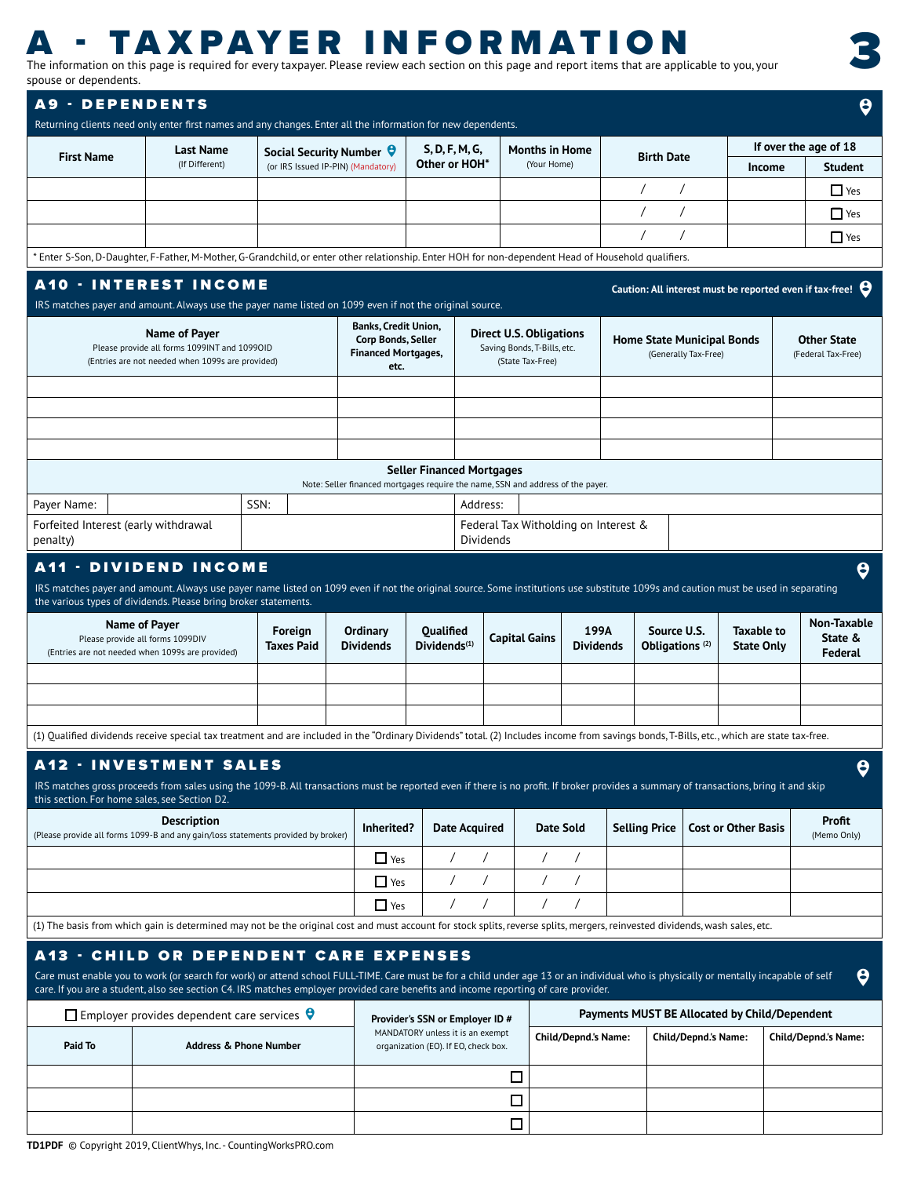# **A - TAXPAYER INFORMATION**<br>The information on this page is required for every taxpayer. Please review each section on this page and report items that are applicable to you, your

spouse or dependents.

3

| <b>A9 - DEPENDENTS</b><br>Returning clients need only enter first names and any changes. Enter all the information for new dependents.                                                                                                                                                                                                                                |                                                                                                                   |                                   |                                                                                         |                                                                                                             |                      |                  |                                                                                 |                                           |                                   |                                 |                                               |                                   | $\boldsymbol{\theta}$                                             |  |  |
|-----------------------------------------------------------------------------------------------------------------------------------------------------------------------------------------------------------------------------------------------------------------------------------------------------------------------------------------------------------------------|-------------------------------------------------------------------------------------------------------------------|-----------------------------------|-----------------------------------------------------------------------------------------|-------------------------------------------------------------------------------------------------------------|----------------------|------------------|---------------------------------------------------------------------------------|-------------------------------------------|-----------------------------------|---------------------------------|-----------------------------------------------|-----------------------------------|-------------------------------------------------------------------|--|--|
|                                                                                                                                                                                                                                                                                                                                                                       |                                                                                                                   |                                   |                                                                                         | S, D, F, M, G,                                                                                              |                      |                  | <b>Months in Home</b>                                                           |                                           |                                   |                                 |                                               | If over the age of 18             |                                                                   |  |  |
| <b>First Name</b>                                                                                                                                                                                                                                                                                                                                                     | <b>Last Name</b><br>(If Different)                                                                                |                                   | Social Security Number 9<br>(or IRS Issued IP-PIN) (Mandatory)                          | Other or HOH*                                                                                               |                      |                  | (Your Home)                                                                     |                                           | <b>Birth Date</b>                 |                                 | Income                                        |                                   | <b>Student</b>                                                    |  |  |
|                                                                                                                                                                                                                                                                                                                                                                       |                                                                                                                   |                                   |                                                                                         |                                                                                                             |                      |                  |                                                                                 |                                           | $\prime$                          |                                 |                                               |                                   | $\Box$ Yes                                                        |  |  |
|                                                                                                                                                                                                                                                                                                                                                                       |                                                                                                                   |                                   |                                                                                         |                                                                                                             |                      |                  |                                                                                 |                                           | $\prime$<br>$\prime$              |                                 |                                               |                                   | $\Box$ Yes                                                        |  |  |
|                                                                                                                                                                                                                                                                                                                                                                       |                                                                                                                   |                                   |                                                                                         |                                                                                                             |                      |                  |                                                                                 |                                           |                                   |                                 |                                               |                                   | $\Box$ Yes                                                        |  |  |
| * Enter S-Son, D-Daughter, F-Father, M-Mother, G-Grandchild, or enter other relationship. Enter HOH for non-dependent Head of Household qualifiers.                                                                                                                                                                                                                   |                                                                                                                   |                                   |                                                                                         |                                                                                                             |                      |                  |                                                                                 |                                           |                                   |                                 |                                               |                                   |                                                                   |  |  |
| <b>A10 · INTEREST INCOME</b><br>IRS matches payer and amount. Always use the payer name listed on 1099 even if not the original source.                                                                                                                                                                                                                               |                                                                                                                   |                                   |                                                                                         |                                                                                                             |                      |                  |                                                                                 |                                           |                                   |                                 |                                               |                                   | Caution: All interest must be reported even if tax-free! $\Theta$ |  |  |
|                                                                                                                                                                                                                                                                                                                                                                       | Name of Payer<br>Please provide all forms 1099INT and 1099OID<br>(Entries are not needed when 1099s are provided) |                                   | <b>Banks, Credit Union,</b><br>Corp Bonds, Seller<br><b>Financed Mortgages,</b><br>etc. |                                                                                                             |                      | (State Tax-Free) | <b>Direct U.S. Obligations</b><br>Saving Bonds, T-Bills, etc.                   |                                           | <b>Home State Municipal Bonds</b> | (Generally Tax-Free)            |                                               |                                   | <b>Other State</b><br>(Federal Tax-Free)                          |  |  |
|                                                                                                                                                                                                                                                                                                                                                                       |                                                                                                                   |                                   |                                                                                         |                                                                                                             |                      |                  |                                                                                 |                                           |                                   |                                 |                                               |                                   |                                                                   |  |  |
|                                                                                                                                                                                                                                                                                                                                                                       |                                                                                                                   |                                   |                                                                                         |                                                                                                             |                      |                  |                                                                                 |                                           |                                   |                                 |                                               |                                   |                                                                   |  |  |
|                                                                                                                                                                                                                                                                                                                                                                       |                                                                                                                   |                                   |                                                                                         |                                                                                                             |                      |                  |                                                                                 |                                           |                                   |                                 |                                               |                                   |                                                                   |  |  |
|                                                                                                                                                                                                                                                                                                                                                                       |                                                                                                                   |                                   |                                                                                         | <b>Seller Financed Mortgages</b>                                                                            |                      |                  |                                                                                 |                                           |                                   |                                 |                                               |                                   |                                                                   |  |  |
| Payer Name:                                                                                                                                                                                                                                                                                                                                                           |                                                                                                                   | SSN:                              |                                                                                         |                                                                                                             | Address:             |                  | Note: Seller financed mortgages require the name, SSN and address of the payer. |                                           |                                   |                                 |                                               |                                   |                                                                   |  |  |
| Forfeited Interest (early withdrawal<br>penalty)                                                                                                                                                                                                                                                                                                                      |                                                                                                                   |                                   |                                                                                         |                                                                                                             | Dividends            |                  | Federal Tax Witholding on Interest &                                            |                                           |                                   |                                 |                                               |                                   |                                                                   |  |  |
| <b>A11 - DIVIDEND INCOME</b>                                                                                                                                                                                                                                                                                                                                          |                                                                                                                   |                                   |                                                                                         |                                                                                                             |                      |                  |                                                                                 |                                           |                                   |                                 |                                               |                                   | $\boldsymbol{\Theta}$                                             |  |  |
| IRS matches payer and amount. Always use payer name listed on 1099 even if not the original source. Some institutions use substitute 1099s and caution must be used in separating<br>the various types of dividends. Please bring broker statements.                                                                                                                  |                                                                                                                   |                                   |                                                                                         |                                                                                                             |                      |                  |                                                                                 |                                           |                                   |                                 |                                               |                                   |                                                                   |  |  |
|                                                                                                                                                                                                                                                                                                                                                                       | Name of Payer<br>Please provide all forms 1099DIV<br>(Entries are not needed when 1099s are provided)             | Foreign<br><b>Taxes Paid</b>      | Ordinary<br><b>Dividends</b>                                                            | Qualified<br>Dividends <sup>(1)</sup>                                                                       | Capital Gains        |                  | 199A<br><b>Dividends</b>                                                        | Source U.S.<br>Obligations <sup>(2)</sup> |                                   | <b>Taxable to</b><br>State Only |                                               | Non-Taxable<br>State &<br>Federal |                                                                   |  |  |
|                                                                                                                                                                                                                                                                                                                                                                       |                                                                                                                   |                                   |                                                                                         |                                                                                                             |                      |                  |                                                                                 |                                           |                                   |                                 |                                               |                                   |                                                                   |  |  |
|                                                                                                                                                                                                                                                                                                                                                                       |                                                                                                                   |                                   |                                                                                         |                                                                                                             |                      |                  |                                                                                 |                                           |                                   |                                 |                                               |                                   |                                                                   |  |  |
|                                                                                                                                                                                                                                                                                                                                                                       |                                                                                                                   |                                   |                                                                                         |                                                                                                             |                      |                  |                                                                                 |                                           |                                   |                                 |                                               |                                   |                                                                   |  |  |
| (1) Qualified dividends receive special tax treatment and are included in the "Ordinary Dividends" total. (2) Includes income from savings bonds, T-Bills, etc., which are state tax-free.                                                                                                                                                                            |                                                                                                                   |                                   |                                                                                         |                                                                                                             |                      |                  |                                                                                 |                                           |                                   |                                 |                                               |                                   |                                                                   |  |  |
| A12 · INVESTMENT SALES<br>IRS matches gross proceeds from sales using the 1099-B. All transactions must be reported even if there is no profit. If broker provides a summary of transactions, bring it and skip<br>this section. For home sales, see Section D2.                                                                                                      |                                                                                                                   |                                   |                                                                                         |                                                                                                             |                      |                  |                                                                                 |                                           |                                   |                                 |                                               |                                   | $\boldsymbol{\theta}$                                             |  |  |
| (Please provide all forms 1099-B and any gain/loss statements provided by broker)                                                                                                                                                                                                                                                                                     | <b>Description</b>                                                                                                |                                   | Inherited?                                                                              |                                                                                                             | <b>Date Acquired</b> |                  | <b>Date Sold</b>                                                                |                                           | <b>Selling Price</b>              |                                 | <b>Cost or Other Basis</b>                    |                                   | <b>Profit</b><br>(Memo Only)                                      |  |  |
|                                                                                                                                                                                                                                                                                                                                                                       |                                                                                                                   |                                   | $\Box$ Yes                                                                              | $\prime$                                                                                                    | $\sqrt{2}$           |                  | $\sqrt{2}$<br>$\prime$                                                          |                                           |                                   |                                 |                                               |                                   |                                                                   |  |  |
|                                                                                                                                                                                                                                                                                                                                                                       |                                                                                                                   |                                   | $\Box$ Yes                                                                              | $\prime$                                                                                                    | $\sqrt{2}$           |                  | $\sqrt{2}$                                                                      |                                           |                                   |                                 |                                               |                                   |                                                                   |  |  |
|                                                                                                                                                                                                                                                                                                                                                                       |                                                                                                                   |                                   | $\Box$ Yes                                                                              | $\prime$                                                                                                    | $\sqrt{2}$           |                  | $\prime$                                                                        |                                           |                                   |                                 |                                               |                                   |                                                                   |  |  |
| (1) The basis from which gain is determined may not be the original cost and must account for stock splits, reverse splits, mergers, reinvested dividends, wash sales, etc.                                                                                                                                                                                           |                                                                                                                   |                                   |                                                                                         |                                                                                                             |                      |                  |                                                                                 |                                           |                                   |                                 |                                               |                                   |                                                                   |  |  |
| A13 - CHILD OR DEPENDENT CARE EXPENSES<br>Care must enable you to work (or search for work) or attend school FULL-TIME. Care must be for a child under age 13 or an individual who is physically or mentally incapable of self<br>care. If you are a student, also see section C4. IRS matches employer provided care benefits and income reporting of care provider. |                                                                                                                   |                                   |                                                                                         |                                                                                                             |                      |                  |                                                                                 |                                           |                                   |                                 |                                               |                                   | $\boldsymbol{\Theta}$                                             |  |  |
|                                                                                                                                                                                                                                                                                                                                                                       | $\Box$ Employer provides dependent care services $\bigtriangledown$                                               |                                   |                                                                                         |                                                                                                             |                      |                  |                                                                                 |                                           |                                   |                                 | Payments MUST BE Allocated by Child/Dependent |                                   |                                                                   |  |  |
| Paid To                                                                                                                                                                                                                                                                                                                                                               |                                                                                                                   | <b>Address &amp; Phone Number</b> |                                                                                         | Provider's SSN or Employer ID #<br>MANDATORY unless it is an exempt<br>organization (EO). If EO, check box. |                      |                  | <b>Child/Depnd.'s Name:</b>                                                     |                                           | <b>Child/Depnd.'s Name:</b>       |                                 |                                               | <b>Child/Depnd.'s Name:</b>       |                                                                   |  |  |
|                                                                                                                                                                                                                                                                                                                                                                       |                                                                                                                   |                                   |                                                                                         |                                                                                                             |                      | □                |                                                                                 |                                           |                                   |                                 |                                               |                                   |                                                                   |  |  |
|                                                                                                                                                                                                                                                                                                                                                                       |                                                                                                                   |                                   |                                                                                         |                                                                                                             |                      | □                |                                                                                 |                                           |                                   |                                 |                                               |                                   |                                                                   |  |  |
|                                                                                                                                                                                                                                                                                                                                                                       |                                                                                                                   |                                   |                                                                                         |                                                                                                             |                      | $\Box$           |                                                                                 |                                           |                                   |                                 |                                               |                                   |                                                                   |  |  |
| <b>TD1PDF</b> © Copyright 2019. ClientWhys. Inc. - CountingWorksPRO.com                                                                                                                                                                                                                                                                                               |                                                                                                                   |                                   |                                                                                         |                                                                                                             |                      |                  |                                                                                 |                                           |                                   |                                 |                                               |                                   |                                                                   |  |  |

opyright 2019, ClientWhys, Inc. - Counting\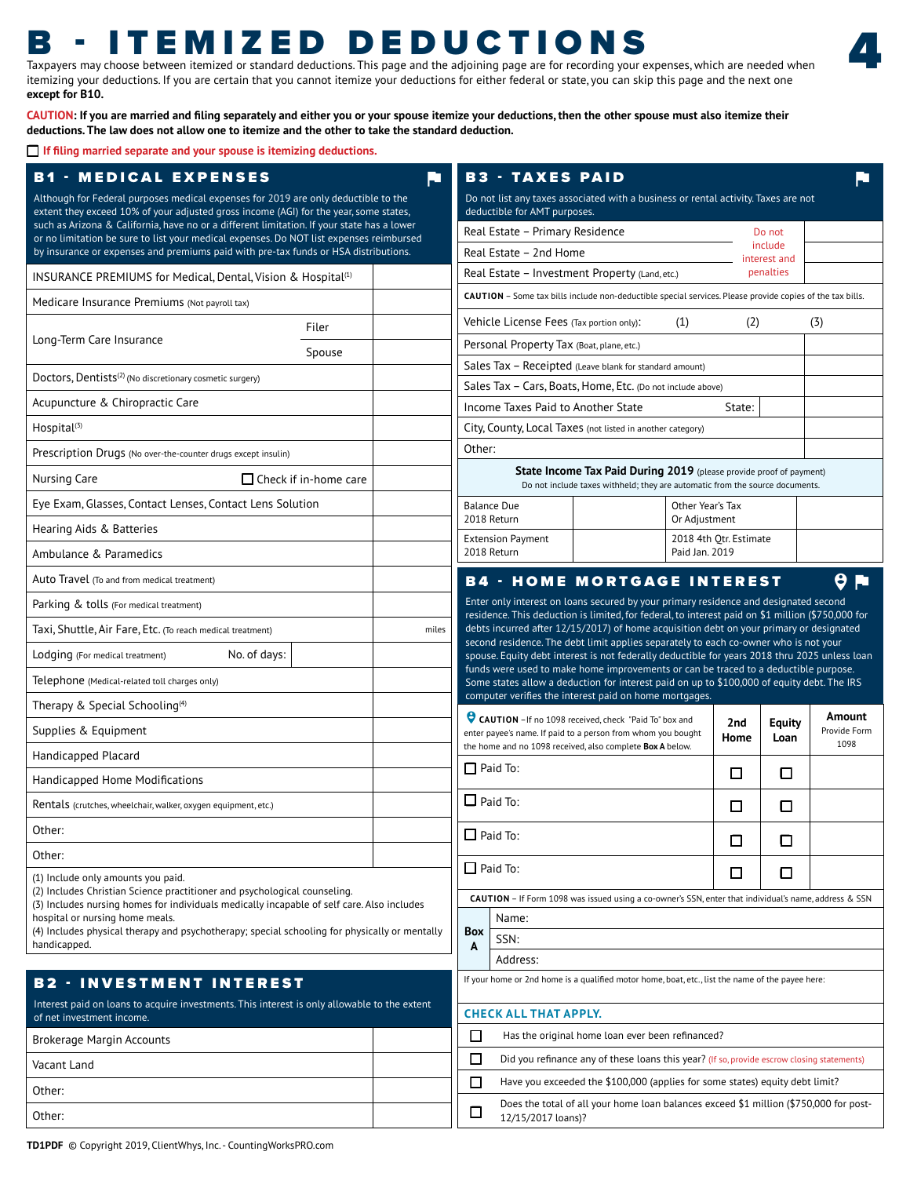# B - ITEMIZED DEDUCTIONS

Taxpayers may choose between itemized or standard deductions. This page and the adjoining page are for recording your expenses, which are needed when itemizing your deductions. If you are certain that you cannot itemize your deductions for either federal or state, you can skip this page and the next one **except for B10.** 

4

**CAUTION: If you are married and filing separately and either you or your spouse itemize your deductions, then the other spouse must also itemize their deductions. The law does not allow one to itemize and the other to take the standard deduction.** 

**If filing married separate and your spouse is itemizing deductions.**

| <b>B1 - MEDICAL EXPENSES</b>                                                                                                                                                          | Æ     | <b>B3 - TAXES PAID</b>                                                                                                                                                                                                                                                                                                                                                       |                                                                                                                                                            |                  |                        |                         |                      |  |
|---------------------------------------------------------------------------------------------------------------------------------------------------------------------------------------|-------|------------------------------------------------------------------------------------------------------------------------------------------------------------------------------------------------------------------------------------------------------------------------------------------------------------------------------------------------------------------------------|------------------------------------------------------------------------------------------------------------------------------------------------------------|------------------|------------------------|-------------------------|----------------------|--|
| Although for Federal purposes medical expenses for 2019 are only deductible to the<br>extent they exceed 10% of your adjusted gross income (AGI) for the year, some states,           |       | Do not list any taxes associated with a business or rental activity. Taxes are not<br>deductible for AMT purposes.                                                                                                                                                                                                                                                           |                                                                                                                                                            |                  |                        |                         |                      |  |
| such as Arizona & California, have no or a different limitation. If your state has a lower<br>or no limitation be sure to list your medical expenses. Do NOT list expenses reimbursed |       | Real Estate - Primary Residence                                                                                                                                                                                                                                                                                                                                              |                                                                                                                                                            |                  |                        | Do not                  |                      |  |
| by insurance or expenses and premiums paid with pre-tax funds or HSA distributions.                                                                                                   |       | Real Estate - 2nd Home                                                                                                                                                                                                                                                                                                                                                       |                                                                                                                                                            |                  |                        | include<br>interest and |                      |  |
| INSURANCE PREMIUMS for Medical, Dental, Vision & Hospital <sup>(1)</sup>                                                                                                              |       | Real Estate - Investment Property (Land, etc.)<br>penalties                                                                                                                                                                                                                                                                                                                  |                                                                                                                                                            |                  |                        |                         |                      |  |
| Medicare Insurance Premiums (Not payroll tax)                                                                                                                                         |       |                                                                                                                                                                                                                                                                                                                                                                              | CAUTION - Some tax bills include non-deductible special services. Please provide copies of the tax bills.                                                  |                  |                        |                         |                      |  |
| Filer                                                                                                                                                                                 |       | Vehicle License Fees (Tax portion only):                                                                                                                                                                                                                                                                                                                                     |                                                                                                                                                            | (1)              | (2)                    |                         | (3)                  |  |
| Long-Term Care Insurance<br>Spouse                                                                                                                                                    |       | Personal Property Tax (Boat, plane, etc.)                                                                                                                                                                                                                                                                                                                                    |                                                                                                                                                            |                  |                        |                         |                      |  |
| Doctors, Dentists <sup>(2)</sup> (No discretionary cosmetic surgery)                                                                                                                  |       | Sales Tax - Receipted (Leave blank for standard amount)                                                                                                                                                                                                                                                                                                                      |                                                                                                                                                            |                  |                        |                         |                      |  |
| Acupuncture & Chiropractic Care                                                                                                                                                       |       | Sales Tax - Cars, Boats, Home, Etc. (Do not include above)<br>Income Taxes Paid to Another State                                                                                                                                                                                                                                                                             |                                                                                                                                                            |                  | State:                 |                         |                      |  |
| Hospital <sup>(3)</sup>                                                                                                                                                               |       | City, County, Local Taxes (not listed in another category)                                                                                                                                                                                                                                                                                                                   |                                                                                                                                                            |                  |                        |                         |                      |  |
| Prescription Drugs (No over-the-counter drugs except insulin)                                                                                                                         |       | Other:                                                                                                                                                                                                                                                                                                                                                                       |                                                                                                                                                            |                  |                        |                         |                      |  |
| Nursing Care<br>□ Check if in-home care                                                                                                                                               |       |                                                                                                                                                                                                                                                                                                                                                                              | <b>State Income Tax Paid During 2019</b> (please provide proof of payment)<br>Do not include taxes withheld; they are automatic from the source documents. |                  |                        |                         |                      |  |
| Eye Exam, Glasses, Contact Lenses, Contact Lens Solution                                                                                                                              |       | <b>Balance Due</b>                                                                                                                                                                                                                                                                                                                                                           |                                                                                                                                                            | Other Year's Tax |                        |                         |                      |  |
| Hearing Aids & Batteries                                                                                                                                                              |       | 2018 Return<br><b>Extension Payment</b>                                                                                                                                                                                                                                                                                                                                      |                                                                                                                                                            | Or Adjustment    | 2018 4th Otr. Estimate |                         |                      |  |
| Ambulance & Paramedics                                                                                                                                                                |       | 2018 Return                                                                                                                                                                                                                                                                                                                                                                  |                                                                                                                                                            | Paid Jan. 2019   |                        |                         |                      |  |
| Auto Travel (To and from medical treatment)                                                                                                                                           |       | <b>B4 - HOME MORTGAGE INTEREST</b>                                                                                                                                                                                                                                                                                                                                           |                                                                                                                                                            |                  |                        |                         | θ<br>ю               |  |
| Parking & tolls (For medical treatment)                                                                                                                                               |       | Enter only interest on loans secured by your primary residence and designated second<br>residence. This deduction is limited, for federal, to interest paid on \$1 million (\$750,000 for<br>debts incurred after 12/15/2017) of home acquisition debt on your primary or designated<br>second residence. The debt limit applies separately to each co-owner who is not your |                                                                                                                                                            |                  |                        |                         |                      |  |
| Taxi, Shuttle, Air Fare, Etc. (To reach medical treatment)                                                                                                                            | miles |                                                                                                                                                                                                                                                                                                                                                                              |                                                                                                                                                            |                  |                        |                         |                      |  |
| No. of days:<br>Lodging (For medical treatment)                                                                                                                                       |       | spouse. Equity debt interest is not federally deductible for years 2018 thru 2025 unless loan                                                                                                                                                                                                                                                                                |                                                                                                                                                            |                  |                        |                         |                      |  |
| Telephone (Medical-related toll charges only)                                                                                                                                         |       | funds were used to make home improvements or can be traced to a deductible purpose.<br>Some states allow a deduction for interest paid on up to \$100,000 of equity debt. The IRS                                                                                                                                                                                            |                                                                                                                                                            |                  |                        |                         |                      |  |
| Therapy & Special Schooling <sup>(4)</sup>                                                                                                                                            |       | computer verifies the interest paid on home mortgages.                                                                                                                                                                                                                                                                                                                       |                                                                                                                                                            |                  |                        |                         | Amount               |  |
| Supplies & Equipment                                                                                                                                                                  |       | CAUTION - If no 1098 received, check "Paid To" box and<br>2 <sub>nd</sub><br>enter payee's name. If paid to a person from whom you bought<br>Home                                                                                                                                                                                                                            |                                                                                                                                                            |                  |                        | Equity<br>Loan          | Provide Form<br>1098 |  |
| Handicapped Placard                                                                                                                                                                   |       | $\Box$ Paid To:                                                                                                                                                                                                                                                                                                                                                              | the home and no 1098 received, also complete Box A below.                                                                                                  |                  |                        |                         |                      |  |
| Handicapped Home Modifications                                                                                                                                                        |       |                                                                                                                                                                                                                                                                                                                                                                              |                                                                                                                                                            |                  | □                      | □                       |                      |  |
| Rentals (crutches, wheelchair, walker, oxygen equipment, etc.)                                                                                                                        |       | $\Box$ Paid To:                                                                                                                                                                                                                                                                                                                                                              |                                                                                                                                                            |                  | □                      | □                       |                      |  |
| Other:                                                                                                                                                                                |       | $\Box$ Paid To:                                                                                                                                                                                                                                                                                                                                                              |                                                                                                                                                            |                  | $\Box$                 | □                       |                      |  |
| Other:                                                                                                                                                                                |       | $\Box$ Paid To:                                                                                                                                                                                                                                                                                                                                                              |                                                                                                                                                            |                  | □                      | □                       |                      |  |
| (1) Include only amounts you paid.<br>(2) Includes Christian Science practitioner and psychological counseling.                                                                       |       | CAUTION - If Form 1098 was issued using a co-owner's SSN, enter that individual's name, address & SSN                                                                                                                                                                                                                                                                        |                                                                                                                                                            |                  |                        |                         |                      |  |
| (3) Includes nursing homes for individuals medically incapable of self care. Also includes<br>hospital or nursing home meals.                                                         |       | Name:                                                                                                                                                                                                                                                                                                                                                                        |                                                                                                                                                            |                  |                        |                         |                      |  |
| (4) Includes physical therapy and psychotherapy; special schooling for physically or mentally                                                                                         |       | <b>Box</b><br>SSN:                                                                                                                                                                                                                                                                                                                                                           |                                                                                                                                                            |                  |                        |                         |                      |  |
| handicapped.                                                                                                                                                                          |       | A<br>Address:                                                                                                                                                                                                                                                                                                                                                                |                                                                                                                                                            |                  |                        |                         |                      |  |
| <b>B2 - INVESTMENT INTEREST</b>                                                                                                                                                       |       | If your home or 2nd home is a qualified motor home, boat, etc., list the name of the payee here:                                                                                                                                                                                                                                                                             |                                                                                                                                                            |                  |                        |                         |                      |  |
| Interest paid on loans to acquire investments. This interest is only allowable to the extent<br>of net investment income.                                                             |       | <b>CHECK ALL THAT APPLY.</b>                                                                                                                                                                                                                                                                                                                                                 |                                                                                                                                                            |                  |                        |                         |                      |  |
| <b>Brokerage Margin Accounts</b>                                                                                                                                                      |       | $\Box$                                                                                                                                                                                                                                                                                                                                                                       | Has the original home loan ever been refinanced?                                                                                                           |                  |                        |                         |                      |  |
| Vacant Land                                                                                                                                                                           |       | $\Box$                                                                                                                                                                                                                                                                                                                                                                       | Did you refinance any of these loans this year? (If so, provide escrow closing statements)                                                                 |                  |                        |                         |                      |  |
| Other:                                                                                                                                                                                |       | $\Box$                                                                                                                                                                                                                                                                                                                                                                       | Have you exceeded the \$100,000 (applies for some states) equity debt limit?                                                                               |                  |                        |                         |                      |  |
| Other:                                                                                                                                                                                |       | □<br>12/15/2017 loans)?                                                                                                                                                                                                                                                                                                                                                      | Does the total of all your home loan balances exceed \$1 million (\$750,000 for post-                                                                      |                  |                        |                         |                      |  |
|                                                                                                                                                                                       |       |                                                                                                                                                                                                                                                                                                                                                                              |                                                                                                                                                            |                  |                        |                         |                      |  |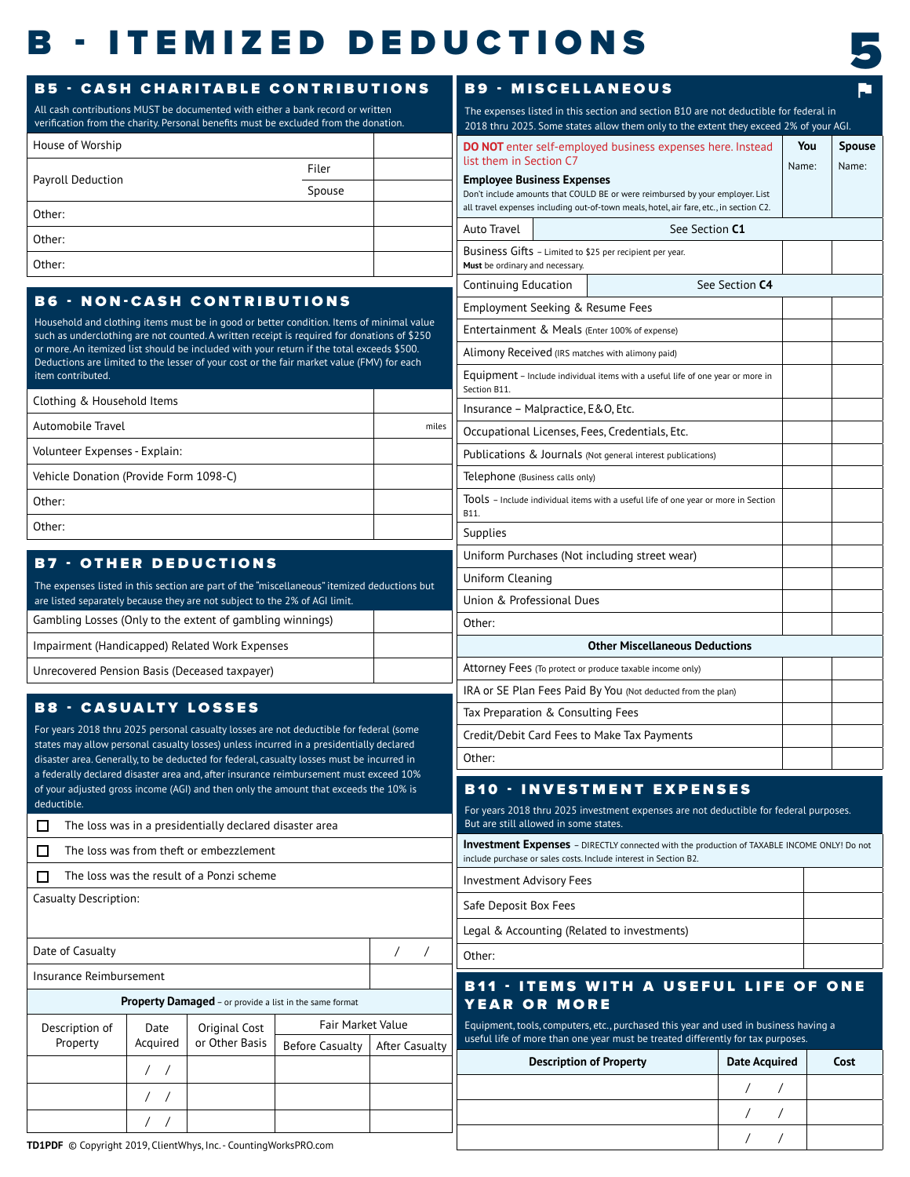# **B - ITEMIZED DEDUCTIONS**



| <b>B5 - CASH CHARITABLE CONTRIBUTIONS</b>                                                                                                                                 |                  |                                                         | All cash contributions MUST be documented with either a bank record or written                                                                                                          |                              |                                                              |                                                                                                                                                                         | <b>B9 - MISCELLANEOUS</b><br>The expenses listed in this section and section B10 are not deductible for federal in |                      |              | p                      |
|---------------------------------------------------------------------------------------------------------------------------------------------------------------------------|------------------|---------------------------------------------------------|-----------------------------------------------------------------------------------------------------------------------------------------------------------------------------------------|------------------------------|--------------------------------------------------------------|-------------------------------------------------------------------------------------------------------------------------------------------------------------------------|--------------------------------------------------------------------------------------------------------------------|----------------------|--------------|------------------------|
| House of Worship                                                                                                                                                          |                  |                                                         | verification from the charity. Personal benefits must be excluded from the donation.                                                                                                    |                              |                                                              |                                                                                                                                                                         | 2018 thru 2025. Some states allow them only to the extent they exceed 2% of your AGI.                              |                      |              |                        |
|                                                                                                                                                                           |                  |                                                         | Filer                                                                                                                                                                                   |                              | list them in Section C7                                      |                                                                                                                                                                         | <b>DO NOT</b> enter self-employed business expenses here. Instead                                                  |                      | You<br>Name: | <b>Spouse</b><br>Name: |
| <b>Payroll Deduction</b>                                                                                                                                                  |                  |                                                         | Spouse                                                                                                                                                                                  |                              | <b>Employee Business Expenses</b>                            |                                                                                                                                                                         | Don't include amounts that COULD BE or were reimbursed by your employer. List                                      |                      |              |                        |
| Other:                                                                                                                                                                    |                  |                                                         |                                                                                                                                                                                         |                              |                                                              |                                                                                                                                                                         | all travel expenses including out-of-town meals, hotel, air fare, etc., in section C2.                             |                      |              |                        |
| Other:                                                                                                                                                                    |                  |                                                         |                                                                                                                                                                                         |                              | Auto Travel                                                  | See Section C1                                                                                                                                                          |                                                                                                                    |                      |              |                        |
| Other:                                                                                                                                                                    |                  |                                                         |                                                                                                                                                                                         |                              | Must be ordinary and necessary.                              |                                                                                                                                                                         | Business Gifts - Limited to \$25 per recipient per year.                                                           |                      |              |                        |
|                                                                                                                                                                           |                  |                                                         |                                                                                                                                                                                         |                              | Continuing Education                                         |                                                                                                                                                                         |                                                                                                                    | See Section C4       |              |                        |
| <b>B6 - NON-CASH CONTRIBUTIONS</b>                                                                                                                                        |                  |                                                         |                                                                                                                                                                                         |                              | Employment Seeking & Resume Fees                             |                                                                                                                                                                         |                                                                                                                    |                      |              |                        |
|                                                                                                                                                                           |                  |                                                         | Household and clothing items must be in good or better condition. Items of minimal value<br>such as underclothing are not counted. A written receipt is required for donations of \$250 |                              |                                                              |                                                                                                                                                                         | Entertainment & Meals (Enter 100% of expense)                                                                      |                      |              |                        |
|                                                                                                                                                                           |                  |                                                         | or more. An itemized list should be included with your return if the total exceeds \$500.                                                                                               |                              | Alimony Received (IRS matches with alimony paid)             |                                                                                                                                                                         |                                                                                                                    |                      |              |                        |
| Deductions are limited to the lesser of your cost or the fair market value (FMV) for each<br>item contributed.                                                            |                  |                                                         |                                                                                                                                                                                         | Section B11.                 |                                                              | Equipment - Include individual items with a useful life of one year or more in                                                                                          |                                                                                                                    |                      |              |                        |
| Clothing & Household Items                                                                                                                                                |                  |                                                         |                                                                                                                                                                                         |                              | Insurance - Malpractice, E & O, Etc.                         |                                                                                                                                                                         |                                                                                                                    |                      |              |                        |
| Automobile Travel                                                                                                                                                         |                  |                                                         |                                                                                                                                                                                         | miles                        |                                                              |                                                                                                                                                                         | Occupational Licenses, Fees, Credentials, Etc.                                                                     |                      |              |                        |
| Volunteer Expenses - Explain:                                                                                                                                             |                  |                                                         |                                                                                                                                                                                         |                              |                                                              |                                                                                                                                                                         | Publications & Journals (Not general interest publications)                                                        |                      |              |                        |
| Vehicle Donation (Provide Form 1098-C)                                                                                                                                    |                  |                                                         |                                                                                                                                                                                         |                              | Telephone (Business calls only)                              |                                                                                                                                                                         |                                                                                                                    |                      |              |                        |
| Other:                                                                                                                                                                    |                  |                                                         |                                                                                                                                                                                         |                              |                                                              |                                                                                                                                                                         | TOOLS - Include individual items with a useful life of one year or more in Section                                 |                      |              |                        |
| Other:                                                                                                                                                                    |                  |                                                         |                                                                                                                                                                                         |                              | B11.<br><b>Supplies</b>                                      |                                                                                                                                                                         |                                                                                                                    |                      |              |                        |
|                                                                                                                                                                           |                  |                                                         |                                                                                                                                                                                         |                              |                                                              |                                                                                                                                                                         | Uniform Purchases (Not including street wear)                                                                      |                      |              |                        |
| <b>B7 - OTHER DEDUCTIONS</b>                                                                                                                                              |                  |                                                         |                                                                                                                                                                                         |                              | Uniform Cleaning                                             |                                                                                                                                                                         |                                                                                                                    |                      |              |                        |
| The expenses listed in this section are part of the "miscellaneous" itemized deductions but<br>are listed separately because they are not subject to the 2% of AGI limit. |                  |                                                         |                                                                                                                                                                                         | Union & Professional Dues    |                                                              |                                                                                                                                                                         |                                                                                                                    |                      |              |                        |
| Gambling Losses (Only to the extent of gambling winnings)                                                                                                                 |                  |                                                         |                                                                                                                                                                                         |                              | Other:                                                       |                                                                                                                                                                         |                                                                                                                    |                      |              |                        |
| Impairment (Handicapped) Related Work Expenses                                                                                                                            |                  |                                                         |                                                                                                                                                                                         |                              |                                                              |                                                                                                                                                                         | <b>Other Miscellaneous Deductions</b>                                                                              |                      |              |                        |
| Unrecovered Pension Basis (Deceased taxpayer)                                                                                                                             |                  |                                                         |                                                                                                                                                                                         |                              |                                                              |                                                                                                                                                                         | Attorney Fees (To protect or produce taxable income only)                                                          |                      |              |                        |
|                                                                                                                                                                           |                  |                                                         |                                                                                                                                                                                         |                              | IRA or SE Plan Fees Paid By You (Not deducted from the plan) |                                                                                                                                                                         |                                                                                                                    |                      |              |                        |
| <b>B8 - CASUALTY LOSSES</b>                                                                                                                                               |                  |                                                         |                                                                                                                                                                                         |                              | Tax Preparation & Consulting Fees                            |                                                                                                                                                                         |                                                                                                                    |                      |              |                        |
| states may allow personal casualty losses) unless incurred in a presidentially declared                                                                                   |                  |                                                         | For years 2018 thru 2025 personal casualty losses are not deductible for federal (some                                                                                                  |                              | Credit/Debit Card Fees to Make Tax Payments                  |                                                                                                                                                                         |                                                                                                                    |                      |              |                        |
|                                                                                                                                                                           |                  |                                                         | disaster area. Generally, to be deducted for federal, casualty losses must be incurred in<br>a federally declared disaster area and, after insurance reimbursement must exceed 10%      |                              | Other:                                                       |                                                                                                                                                                         |                                                                                                                    |                      |              |                        |
| of your adjusted gross income (AGI) and then only the amount that exceeds the 10% is                                                                                      |                  |                                                         |                                                                                                                                                                                         |                              |                                                              |                                                                                                                                                                         | <b>B10 · INVESTMENT EXPENSES</b>                                                                                   |                      |              |                        |
| deductible.                                                                                                                                                               |                  |                                                         |                                                                                                                                                                                         |                              | But are still allowed in some states.                        |                                                                                                                                                                         | For years 2018 thru 2025 investment expenses are not deductible for federal purposes.                              |                      |              |                        |
| $\Box$                                                                                                                                                                    |                  | The loss was in a presidentially declared disaster area |                                                                                                                                                                                         |                              |                                                              |                                                                                                                                                                         | <b>Investment Expenses</b> - DIRECTLY connected with the production of TAXABLE INCOME ONLY! Do not                 |                      |              |                        |
| □                                                                                                                                                                         |                  | The loss was from theft or embezzlement                 |                                                                                                                                                                                         |                              |                                                              |                                                                                                                                                                         | include purchase or sales costs. Include interest in Section B2.                                                   |                      |              |                        |
| $\Box$                                                                                                                                                                    |                  | The loss was the result of a Ponzi scheme               |                                                                                                                                                                                         |                              | <b>Investment Advisory Fees</b>                              |                                                                                                                                                                         |                                                                                                                    |                      |              |                        |
| Casualty Description:                                                                                                                                                     |                  |                                                         |                                                                                                                                                                                         |                              | Safe Deposit Box Fees                                        |                                                                                                                                                                         |                                                                                                                    |                      |              |                        |
|                                                                                                                                                                           |                  |                                                         |                                                                                                                                                                                         |                              |                                                              |                                                                                                                                                                         | Legal & Accounting (Related to investments)                                                                        |                      |              |                        |
| Date of Casualty                                                                                                                                                          |                  |                                                         |                                                                                                                                                                                         | $\sqrt{2}$<br>$\overline{1}$ | Other:                                                       |                                                                                                                                                                         |                                                                                                                    |                      |              |                        |
| Insurance Reimbursement                                                                                                                                                   |                  |                                                         |                                                                                                                                                                                         |                              |                                                              |                                                                                                                                                                         | <b>B11 - ITEMS WITH A USEFUL LIFE OF ONE</b>                                                                       |                      |              |                        |
|                                                                                                                                                                           |                  | Property Damaged - or provide a list in the same format |                                                                                                                                                                                         |                              | <b>YEAR OR MORE</b>                                          |                                                                                                                                                                         |                                                                                                                    |                      |              |                        |
| Fair Market Value<br>Original Cost<br>Description of<br>Date                                                                                                              |                  |                                                         |                                                                                                                                                                                         |                              |                                                              | Equipment, tools, computers, etc., purchased this year and used in business having a<br>useful life of more than one year must be treated differently for tax purposes. |                                                                                                                    |                      |              |                        |
| Property                                                                                                                                                                  | Acquired         | or Other Basis                                          | <b>Before Casualty</b>                                                                                                                                                                  | After Casualty               |                                                              |                                                                                                                                                                         | <b>Description of Property</b>                                                                                     | <b>Date Acquired</b> |              | Cost                   |
|                                                                                                                                                                           | $\left  \right $ |                                                         |                                                                                                                                                                                         |                              |                                                              |                                                                                                                                                                         |                                                                                                                    | $\overline{ }$       |              |                        |
|                                                                                                                                                                           |                  |                                                         |                                                                                                                                                                                         |                              |                                                              |                                                                                                                                                                         |                                                                                                                    | $\prime$             |              |                        |
|                                                                                                                                                                           |                  |                                                         |                                                                                                                                                                                         |                              |                                                              |                                                                                                                                                                         |                                                                                                                    |                      |              |                        |
| TD1PDF © Copyright 2019, ClientWhys, Inc. - CountingWorksPRO.com                                                                                                          |                  |                                                         |                                                                                                                                                                                         |                              |                                                              |                                                                                                                                                                         |                                                                                                                    |                      |              |                        |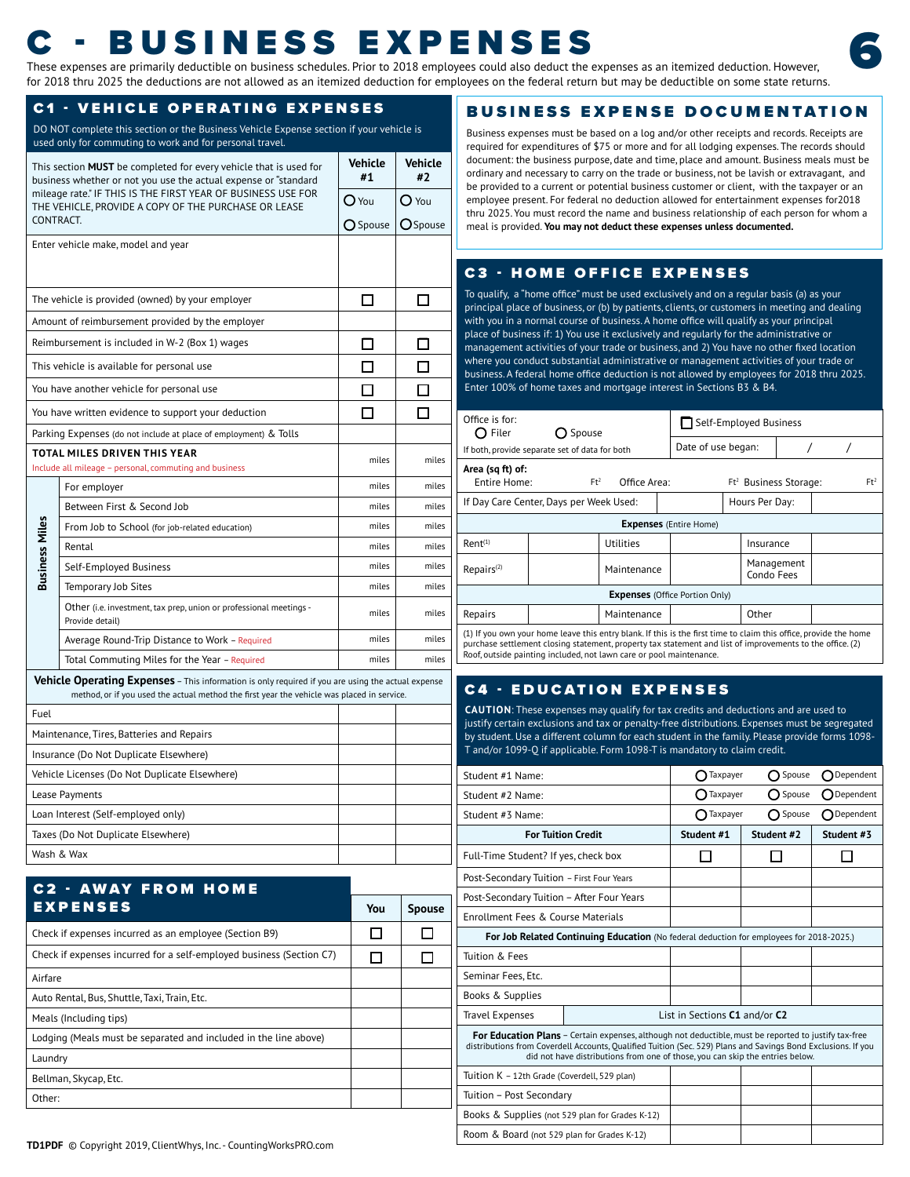# These expenses are primarily deductible on business schedules. Prior to 2018 employees could also deduct the expenses as an itemized deduction. However,  $\frac{1}{2}$

for 2018 thru 2025 the deductions are not allowed as an itemized deduction for employees on the federal return but may be deductible on some state returns.

#### C1 - VEHICLE OPERATING EXPENSES

DO NOT complete this section or the Business Vehicle Expense section if your vehicle is used only for commuting to work and for personal travel.

|                       | This section <b>MUST</b> be completed for every vehicle that is used for<br>business whether or not you use the actual expense or "standard                                                      | <b>Vehicle</b><br>#1 | <b>Vehicle</b><br>#2 |
|-----------------------|--------------------------------------------------------------------------------------------------------------------------------------------------------------------------------------------------|----------------------|----------------------|
|                       | mileage rate." IF THIS IS THE FIRST YEAR OF BUSINESS USE FOR<br>THE VEHICLE, PROVIDE A COPY OF THE PURCHASE OR LEASE                                                                             | $O$ You              | $O$ You              |
| CONTRACT.             |                                                                                                                                                                                                  | ○ Spouse             | <b>O</b> Spouse      |
|                       | Enter vehicle make, model and year                                                                                                                                                               |                      |                      |
|                       |                                                                                                                                                                                                  |                      |                      |
|                       | The vehicle is provided (owned) by your employer                                                                                                                                                 | П                    |                      |
|                       | Amount of reimbursement provided by the employer                                                                                                                                                 |                      |                      |
|                       | Reimbursement is included in W-2 (Box 1) wages                                                                                                                                                   | $\Box$               |                      |
|                       | This vehicle is available for personal use                                                                                                                                                       | П                    |                      |
|                       | You have another vehicle for personal use                                                                                                                                                        | П                    |                      |
|                       | You have written evidence to support your deduction                                                                                                                                              |                      |                      |
|                       | Parking Expenses (do not include at place of employment) & Tolls                                                                                                                                 |                      |                      |
|                       | TOTAL MILES DRIVEN THIS YEAR<br>Include all mileage - personal, commuting and business                                                                                                           | miles                | miles                |
|                       | For employer                                                                                                                                                                                     | miles                | miles                |
|                       | Between First & Second Job                                                                                                                                                                       | miles                | miles                |
|                       | From Job to School (for job-related education)                                                                                                                                                   | miles                | miles                |
| <b>Business Miles</b> | Rental                                                                                                                                                                                           | miles                | miles                |
|                       | Self-Employed Business                                                                                                                                                                           | miles                | miles                |
|                       | <b>Temporary Job Sites</b>                                                                                                                                                                       | miles                | miles                |
|                       | Other (i.e. investment, tax prep, union or professional meetings -<br>Provide detail)                                                                                                            | miles                | miles                |
|                       | Average Round-Trip Distance to Work - Required                                                                                                                                                   | miles                | miles                |
|                       | Total Commuting Miles for the Year - Required                                                                                                                                                    | miles                | miles                |
|                       | Vehicle Operating Expenses - This information is only required if you are using the actual expense<br>method, or if you used the actual method the first year the vehicle was placed in service. |                      |                      |
| Fuel                  |                                                                                                                                                                                                  |                      |                      |
|                       | Maintenance, Tires, Batteries and Repairs                                                                                                                                                        |                      |                      |
|                       | Insurance (Do Not Duplicate Elsewhere)                                                                                                                                                           |                      |                      |
|                       | Vehicle Licenses (Do Not Duplicate Elsewhere)                                                                                                                                                    |                      |                      |
|                       | Lease Payments                                                                                                                                                                                   |                      |                      |
|                       | Loan Interest (Self-employed only)                                                                                                                                                               |                      |                      |
|                       | Taxes (Do Not Duplicate Elsewhere)                                                                                                                                                               |                      |                      |
|                       | Wash & Wax                                                                                                                                                                                       |                      |                      |

| <b>C2 - AWAY FROM HOME</b>                                           |     |               |
|----------------------------------------------------------------------|-----|---------------|
| <b>EXPENSES</b>                                                      | You | <b>Spouse</b> |
| Check if expenses incurred as an employee (Section B9)               |     |               |
| Check if expenses incurred for a self-employed business (Section C7) | H   |               |
| Airfare                                                              |     |               |
| Auto Rental, Bus, Shuttle, Taxi, Train, Etc.                         |     |               |
| Meals (Including tips)                                               |     |               |
| Lodging (Meals must be separated and included in the line above)     |     |               |
| Laundry                                                              |     |               |
| Bellman, Skycap, Etc.                                                |     |               |
| Other:                                                               |     |               |
|                                                                      |     |               |

### BUSINESS EXPENSE DOCUMENTATION

Business expenses must be based on a log and/or other receipts and records. Receipts are required for expenditures of \$75 or more and for all lodging expenses. The records should document: the business purpose, date and time, place and amount. Business meals must be ordinary and necessary to carry on the trade or business, not be lavish or extravagant, and be provided to a current or potential business customer or client, with the taxpayer or an employee present. For federal no deduction allowed for entertainment expenses for2018 thru 2025. You must record the name and business relationship of each person for whom a meal is provided. **You may not deduct these expenses unless documented.**

### C3 - HOME OFFICE EXPENSES

To qualify, a "home office" must be used exclusively and on a regular basis (a) as your principal place of business, or (b) by patients, clients, or customers in meeting and dealing with you in a normal course of business. A home office will qualify as your principal place of business if: 1) You use it exclusively and regularly for the administrative or management activities of your trade or business, and 2) You have no other fixed location where you conduct substantial administrative or management activities of your trade or business. A federal home office deduction is not allowed by employees for 2018 thru 2025. Enter 100% of home taxes and mortgage interest in Sections B3 & B4.

| Office is for:<br>$\bigcap$ Filer              | ◯ Spouse                                                                                                                                                                                                                                    |                  |                | □ Self-Employed Business |  |                          |  |  |  |  |
|------------------------------------------------|---------------------------------------------------------------------------------------------------------------------------------------------------------------------------------------------------------------------------------------------|------------------|----------------|--------------------------|--|--------------------------|--|--|--|--|
| If both, provide separate set of data for both |                                                                                                                                                                                                                                             |                  |                | Date of use began:       |  |                          |  |  |  |  |
|                                                | Area (sq ft) of:<br>$Ft^2$<br>$Ft^2$<br>Ft <sup>2</sup> Business Storage:<br>Entire Home:<br>Office Area:                                                                                                                                   |                  |                |                          |  |                          |  |  |  |  |
| If Day Care Center, Days per Week Used:        |                                                                                                                                                                                                                                             |                  | Hours Per Day: |                          |  |                          |  |  |  |  |
|                                                | <b>Expenses</b> (Entire Home)                                                                                                                                                                                                               |                  |                |                          |  |                          |  |  |  |  |
| $Rent^{(1)}$                                   |                                                                                                                                                                                                                                             | <b>Utilities</b> |                |                          |  | Insurance                |  |  |  |  |
| Repairs <sup>(2)</sup>                         |                                                                                                                                                                                                                                             | Maintenance      |                |                          |  | Management<br>Condo Fees |  |  |  |  |
|                                                | <b>Expenses</b> (Office Portion Only)                                                                                                                                                                                                       |                  |                |                          |  |                          |  |  |  |  |
| Repairs                                        |                                                                                                                                                                                                                                             | Maintenance      |                |                          |  | Other                    |  |  |  |  |
|                                                | (1) If you own your home leave this entry blank. If this is the first time to claim this office, provide the home<br>دوست المعرف المناسب المعرفين المعرفين المعرفين المعرفين المعرفين المعرفين المعرفين المعرفين المعرفين المعرفين المعرفين |                  |                |                          |  |                          |  |  |  |  |

purchase settlement closing statement, property tax statement and list of improvements to the office. (2) Roof, outside painting included, not lawn care or pool maintenance.

### C4 - EDUCATION EXPENSES

**CAUTION**: These expenses may qualify for tax credits and deductions and are used to justify certain exclusions and tax or penalty-free distributions. Expenses must be segregated by student. Use a different column for each student in the family. Please provide forms 1098-  $\mu$ nd/or 1099-O if applicable. Form 1098-T is mandatory to claim credit.

| Student #1 Name:                                                                                                                                                                                                                                                                                               |                                                                                                 | Taxpayer                      | Spouse     | Dependent           |  |  |  |
|----------------------------------------------------------------------------------------------------------------------------------------------------------------------------------------------------------------------------------------------------------------------------------------------------------------|-------------------------------------------------------------------------------------------------|-------------------------------|------------|---------------------|--|--|--|
| Student #2 Name:                                                                                                                                                                                                                                                                                               |                                                                                                 | Taxpayer                      | ◯ Spouse   | $\bigcap$ Dependent |  |  |  |
| Student #3 Name:                                                                                                                                                                                                                                                                                               |                                                                                                 | Taxpayer                      | ◯ Spouse   | $\bigcap$ Dependent |  |  |  |
|                                                                                                                                                                                                                                                                                                                | <b>For Tuition Credit</b>                                                                       | Student #1                    | Student #2 | Student #3          |  |  |  |
| Full-Time Student? If yes, check box                                                                                                                                                                                                                                                                           |                                                                                                 |                               |            |                     |  |  |  |
| Post-Secondary Tuition - First Four Years                                                                                                                                                                                                                                                                      |                                                                                                 |                               |            |                     |  |  |  |
| Post-Secondary Tuition - After Four Years                                                                                                                                                                                                                                                                      |                                                                                                 |                               |            |                     |  |  |  |
| Enrollment Fees & Course Materials                                                                                                                                                                                                                                                                             |                                                                                                 |                               |            |                     |  |  |  |
|                                                                                                                                                                                                                                                                                                                | <b>For Job Related Continuing Education</b> (No federal deduction for employees for 2018-2025.) |                               |            |                     |  |  |  |
| Tuition & Fees                                                                                                                                                                                                                                                                                                 |                                                                                                 |                               |            |                     |  |  |  |
| Seminar Fees, Etc.                                                                                                                                                                                                                                                                                             |                                                                                                 |                               |            |                     |  |  |  |
| Books & Supplies                                                                                                                                                                                                                                                                                               |                                                                                                 |                               |            |                     |  |  |  |
| <b>Travel Expenses</b>                                                                                                                                                                                                                                                                                         |                                                                                                 | List in Sections C1 and/or C2 |            |                     |  |  |  |
| <b>For Education Plans</b> – Certain expenses, although not deductible, must be reported to justify tax-free<br>distributions from Coverdell Accounts, Qualified Tuition (Sec. 529) Plans and Savings Bond Exclusions. If you<br>did not have distributions from one of those, you can skip the entries below. |                                                                                                 |                               |            |                     |  |  |  |
| Tuition K - 12th Grade (Coverdell, 529 plan)                                                                                                                                                                                                                                                                   |                                                                                                 |                               |            |                     |  |  |  |
| Tuition - Post Secondary                                                                                                                                                                                                                                                                                       |                                                                                                 |                               |            |                     |  |  |  |
| Books & Supplies (not 529 plan for Grades K-12)                                                                                                                                                                                                                                                                |                                                                                                 |                               |            |                     |  |  |  |
| Room & Board (not 529 plan for Grades K-12)                                                                                                                                                                                                                                                                    |                                                                                                 |                               |            |                     |  |  |  |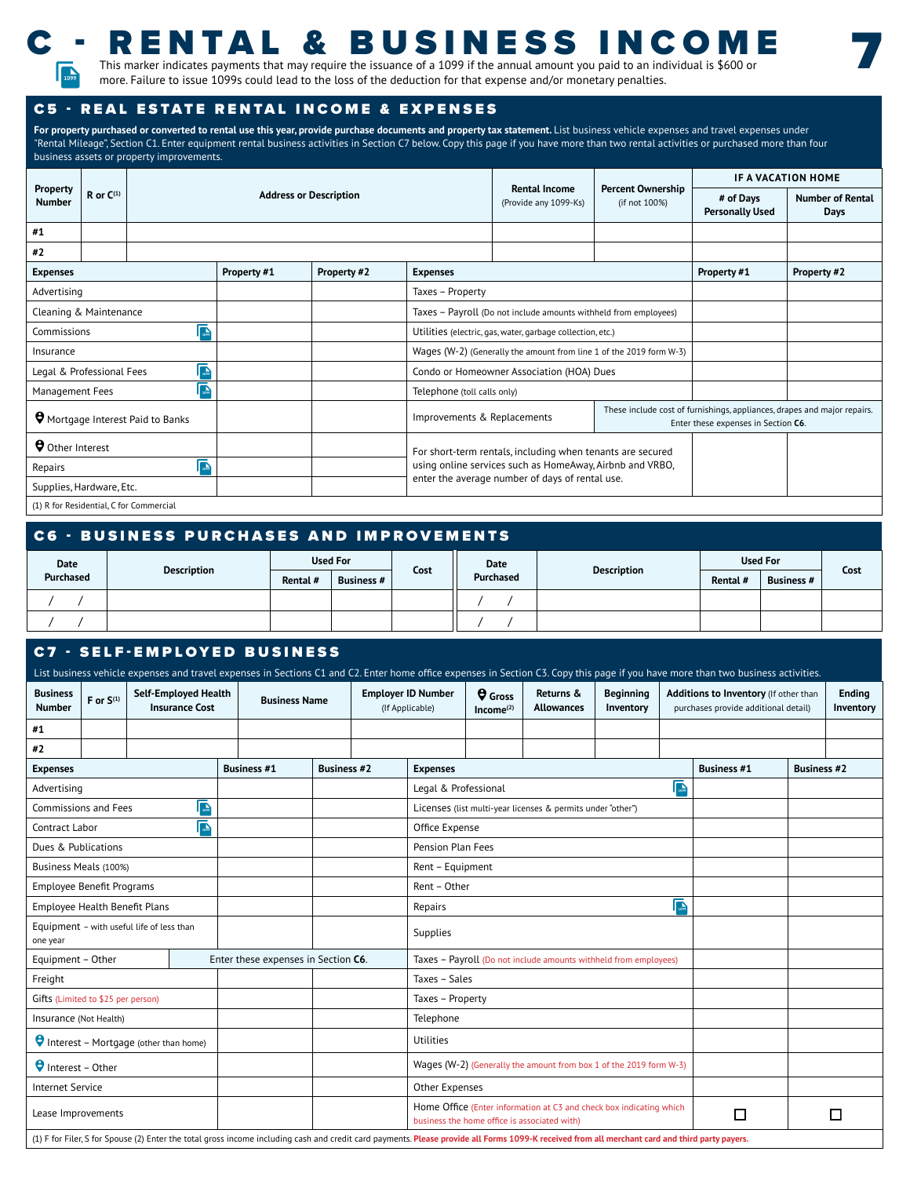

## C - RENTAL & BUSINESS INCOME This marker indicates payments that may require the issuance of a 1099 if the annual amount you paid to an individual is \$600 or

7

more. Failure to issue 1099s could lead to the loss of the deduction for that expense and/or monetary penalties.<br>The more. Failure to issue 1099s could lead to the loss of the deduction for that expense and/or monetary pen

### C5 - REAL ESTATE RENTAL INCOME & EXPENSES

For property purchased or converted to rental use this year, provide purchase documents and property tax statement. List business vehicle expenses and travel expenses under "Rental Mileage", Section C1. Enter equipment rental business activities in Section C7 below. Copy this page if you have more than two rental activities or purchased more than four business assets or property improvements.

|                                               |                |                                          |                               |                                           |                                                                     |                                           | IF A VACATION HOME                                                                                              |                                 |  |
|-----------------------------------------------|----------------|------------------------------------------|-------------------------------|-------------------------------------------|---------------------------------------------------------------------|-------------------------------------------|-----------------------------------------------------------------------------------------------------------------|---------------------------------|--|
| Property<br><b>Number</b>                     | R or $C^{(1)}$ |                                          | <b>Address or Description</b> |                                           | <b>Rental Income</b><br>(Provide any 1099-Ks)                       | <b>Percent Ownership</b><br>(if not 100%) | # of Days<br><b>Personally Used</b>                                                                             | <b>Number of Rental</b><br>Days |  |
| #1                                            |                |                                          |                               |                                           |                                                                     |                                           |                                                                                                                 |                                 |  |
| #2                                            |                |                                          |                               |                                           |                                                                     |                                           |                                                                                                                 |                                 |  |
| Property #1<br>Property #2<br><b>Expenses</b> |                |                                          | <b>Expenses</b>               |                                           |                                                                     |                                           | Property #2                                                                                                     |                                 |  |
| Advertising                                   |                |                                          |                               | Taxes - Property                          |                                                                     |                                           |                                                                                                                 |                                 |  |
| Cleaning & Maintenance                        |                |                                          |                               |                                           | Taxes - Payroll (Do not include amounts withheld from employees)    |                                           |                                                                                                                 |                                 |  |
| Commissions                                   |                | 匾                                        |                               |                                           | Utilities (electric, gas, water, garbage collection, etc.)          |                                           |                                                                                                                 |                                 |  |
| Insurance                                     |                |                                          |                               |                                           | Wages (W-2) (Generally the amount from line 1 of the 2019 form W-3) |                                           |                                                                                                                 |                                 |  |
| Legal & Professional Fees                     |                | 匾                                        |                               | Condo or Homeowner Association (HOA) Dues |                                                                     |                                           |                                                                                                                 |                                 |  |
| Management Fees                               |                | 匾                                        |                               | Telephone (toll calls only)               |                                                                     |                                           |                                                                                                                 |                                 |  |
|                                               |                | <b>O</b> Mortgage Interest Paid to Banks |                               | Improvements & Replacements               |                                                                     |                                           | These include cost of furnishings, appliances, drapes and major repairs.<br>Enter these expenses in Section C6. |                                 |  |
| Other Interest                                |                |                                          |                               |                                           | For short-term rentals, including when tenants are secured          |                                           |                                                                                                                 |                                 |  |
| Repairs                                       |                | 匾                                        |                               |                                           | using online services such as HomeAway, Airbnb and VRBO,            |                                           |                                                                                                                 |                                 |  |
| Supplies, Hardware, Etc.                      |                |                                          |                               |                                           | enter the average number of days of rental use.                     |                                           |                                                                                                                 |                                 |  |
|                                               |                | (1) R for Residential, C for Commercial  |                               |                                           |                                                                     |                                           |                                                                                                                 |                                 |  |

| <b>C6 - BUSINESS PURCHASES AND IMPROVEMENTS</b> |                 |          |                   |      |           |                    |          |                   |      |
|-------------------------------------------------|-----------------|----------|-------------------|------|-----------|--------------------|----------|-------------------|------|
| Date<br><b>Description</b><br>Purchased         | <b>Used For</b> |          |                   | Date |           | <b>Used For</b>    |          |                   |      |
|                                                 |                 | Rental # | <b>Business #</b> | Cost | Purchased | <b>Description</b> | Rental # | <b>Business #</b> | Cost |
|                                                 |                 |          |                   |      |           |                    |          |                   |      |
|                                                 |                 |          |                   |      |           |                    |          |                   |      |

### C7 - SELF-EMPLOYED BUSINESS

| List business vehicle expenses and travel expenses in Sections C1 and C2. Enter home office expenses in Section C3. Copy this page if you have more than two business activities. |                |                                                                                                                                                                                                 |                    |                                     |  |                 |                                                                                                                          |                                         |                                                                  |                               |   |                                                                               |  |                            |
|-----------------------------------------------------------------------------------------------------------------------------------------------------------------------------------|----------------|-------------------------------------------------------------------------------------------------------------------------------------------------------------------------------------------------|--------------------|-------------------------------------|--|-----------------|--------------------------------------------------------------------------------------------------------------------------|-----------------------------------------|------------------------------------------------------------------|-------------------------------|---|-------------------------------------------------------------------------------|--|----------------------------|
| <b>Business</b><br><b>Number</b>                                                                                                                                                  | F or $S^{(1)}$ | Self-Employed Health<br><b>Insurance Cost</b>                                                                                                                                                   |                    | <b>Business Name</b>                |  |                 | <b>Employer ID Number</b><br>(If Applicable)                                                                             | <b>Q</b> Gross<br>Income <sup>(2)</sup> | Returns &<br><b>Allowances</b>                                   | <b>Beginning</b><br>Inventory |   | Additions to Inventory (If other than<br>purchases provide additional detail) |  | <b>Ending</b><br>Inventory |
| #1                                                                                                                                                                                |                |                                                                                                                                                                                                 |                    |                                     |  |                 |                                                                                                                          |                                         |                                                                  |                               |   |                                                                               |  |                            |
| #2                                                                                                                                                                                |                |                                                                                                                                                                                                 |                    |                                     |  |                 |                                                                                                                          |                                         |                                                                  |                               |   |                                                                               |  |                            |
| <b>Expenses</b>                                                                                                                                                                   |                |                                                                                                                                                                                                 | <b>Business #1</b> | <b>Business #2</b>                  |  | <b>Expenses</b> |                                                                                                                          |                                         | <b>Business #1</b>                                               | <b>Business #2</b>            |   |                                                                               |  |                            |
| Advertising                                                                                                                                                                       |                |                                                                                                                                                                                                 |                    |                                     |  |                 | Legal & Professional                                                                                                     |                                         |                                                                  |                               | ቤ |                                                                               |  |                            |
| <b>Commissions and Fees</b>                                                                                                                                                       |                | 匾                                                                                                                                                                                               |                    |                                     |  |                 |                                                                                                                          |                                         | Licenses (list multi-year licenses & permits under "other")      |                               |   |                                                                               |  |                            |
| Contract Labor                                                                                                                                                                    |                | <b>I</b> <sub>to</sub>                                                                                                                                                                          |                    |                                     |  |                 | Office Expense                                                                                                           |                                         |                                                                  |                               |   |                                                                               |  |                            |
| Dues & Publications                                                                                                                                                               |                |                                                                                                                                                                                                 |                    |                                     |  |                 | Pension Plan Fees                                                                                                        |                                         |                                                                  |                               |   |                                                                               |  |                            |
| Business Meals (100%)                                                                                                                                                             |                |                                                                                                                                                                                                 |                    |                                     |  |                 | Rent - Equipment                                                                                                         |                                         |                                                                  |                               |   |                                                                               |  |                            |
| <b>Employee Benefit Programs</b>                                                                                                                                                  |                |                                                                                                                                                                                                 |                    |                                     |  |                 |                                                                                                                          | Rent - Other                            |                                                                  |                               |   |                                                                               |  |                            |
| Employee Health Benefit Plans                                                                                                                                                     |                |                                                                                                                                                                                                 |                    |                                     |  |                 | 匾<br>Repairs                                                                                                             |                                         |                                                                  |                               |   |                                                                               |  |                            |
| one year                                                                                                                                                                          |                | Equipment - with useful life of less than                                                                                                                                                       |                    |                                     |  |                 | Supplies                                                                                                                 |                                         |                                                                  |                               |   |                                                                               |  |                            |
| Equipment - Other                                                                                                                                                                 |                |                                                                                                                                                                                                 |                    | Enter these expenses in Section C6. |  |                 |                                                                                                                          |                                         | Taxes - Payroll (Do not include amounts withheld from employees) |                               |   |                                                                               |  |                            |
| Freight                                                                                                                                                                           |                |                                                                                                                                                                                                 |                    |                                     |  |                 | Taxes - Sales                                                                                                            |                                         |                                                                  |                               |   |                                                                               |  |                            |
| Gifts (Limited to \$25 per person)                                                                                                                                                |                |                                                                                                                                                                                                 |                    |                                     |  |                 | Taxes - Property                                                                                                         |                                         |                                                                  |                               |   |                                                                               |  |                            |
| Insurance (Not Health)                                                                                                                                                            |                |                                                                                                                                                                                                 |                    |                                     |  |                 | Telephone                                                                                                                |                                         |                                                                  |                               |   |                                                                               |  |                            |
|                                                                                                                                                                                   |                | Interest - Mortgage (other than home)                                                                                                                                                           |                    |                                     |  |                 | Utilities                                                                                                                |                                         |                                                                  |                               |   |                                                                               |  |                            |
| $\Theta$ Interest - Other                                                                                                                                                         |                |                                                                                                                                                                                                 |                    |                                     |  |                 | Wages (W-2) (Generally the amount from box 1 of the 2019 form W-3)                                                       |                                         |                                                                  |                               |   |                                                                               |  |                            |
| <b>Internet Service</b>                                                                                                                                                           |                |                                                                                                                                                                                                 |                    |                                     |  |                 | Other Expenses                                                                                                           |                                         |                                                                  |                               |   |                                                                               |  |                            |
| Lease Improvements                                                                                                                                                                |                |                                                                                                                                                                                                 |                    |                                     |  |                 | Home Office (Enter information at C3 and check box indicating which<br>□<br>business the home office is associated with) |                                         |                                                                  |                               |   | П                                                                             |  |                            |
|                                                                                                                                                                                   |                | (1) F for Filer, S for Spouse (2) Enter the total gross income including cash and credit card payments. Please provide all Forms 1099-K received from all merchant card and third party payers. |                    |                                     |  |                 |                                                                                                                          |                                         |                                                                  |                               |   |                                                                               |  |                            |